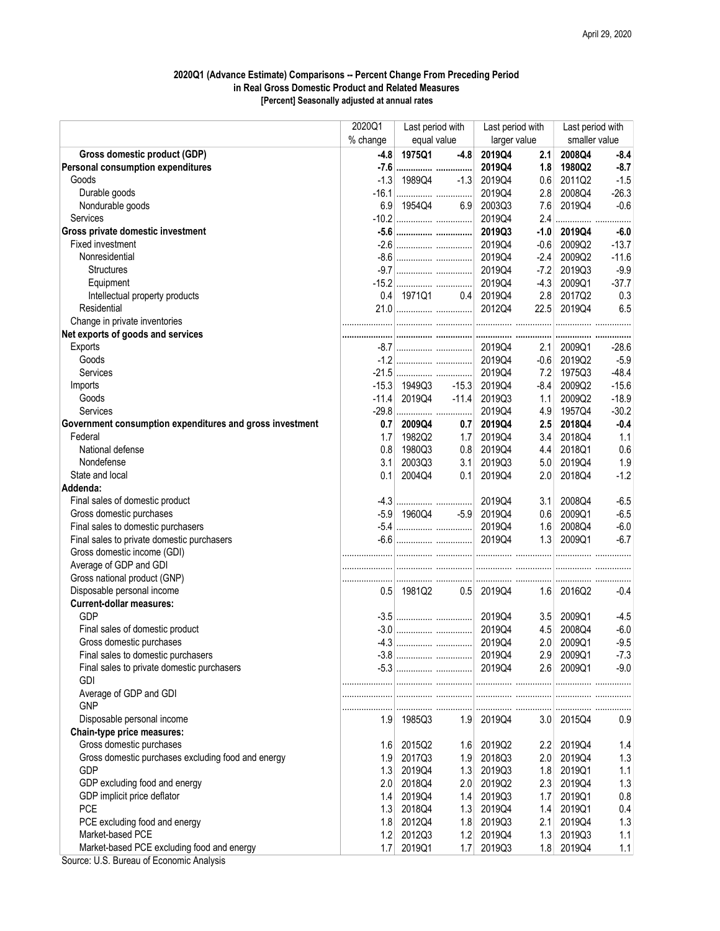## 2020Q1 (Advance Estimate) Comparisons -- Percent Change From Preceding Period in Real Gross Domestic Product and Related Measures [Percent] Seasonally adjusted at annual rates

|                                                          | 2020Q1           | Last period with<br>equal value |                      | Last period with<br>larger value |        | Last period with<br>smaller value |         |
|----------------------------------------------------------|------------------|---------------------------------|----------------------|----------------------------------|--------|-----------------------------------|---------|
|                                                          | % change         |                                 |                      |                                  |        |                                   |         |
| Gross domestic product (GDP)                             | $-4.8$           | 1975Q1                          | $-4.8$               | 2019Q4                           | 2.1    | 2008Q4                            | $-8.4$  |
| Personal consumption expenditures                        |                  |                                 |                      | 2019Q4                           | 1.8    | 1980Q2                            | $-8.7$  |
| Goods                                                    |                  | $-1.3$ 1989Q4                   | $-1.3$               | 2019Q4                           | 0.6    | 2011Q2                            | $-1.5$  |
| Durable goods                                            |                  |                                 |                      | 2019Q4                           | 2.8    | 2008Q4                            | $-26.3$ |
| Nondurable goods                                         |                  | 6.9 1954Q4                      | 6.9                  | 2003Q3                           | 7.6    | 2019Q4                            | $-0.6$  |
| <b>Services</b>                                          |                  |                                 |                      | 2019Q4                           | 2.4    |                                   |         |
| Gross private domestic investment                        |                  |                                 |                      | 2019Q3                           | $-1.0$ | 2019Q4                            | $-6.0$  |
| Fixed investment                                         |                  |                                 |                      | 2019Q4                           | $-0.6$ | 2009Q2                            | $-13.7$ |
| Nonresidential                                           |                  |                                 |                      | 2019Q4                           | $-2.4$ | 2009Q2                            | $-11.6$ |
| <b>Structures</b>                                        |                  |                                 |                      | 2019Q4                           | $-7.2$ | 2019Q3                            | $-9.9$  |
| Equipment                                                |                  |                                 |                      | 2019Q4                           | $-4.3$ | 2009Q1                            | $-37.7$ |
| Intellectual property products                           |                  | $0.4$ 1971Q1                    | 0.4                  | 2019Q4                           | 2.8    | 2017Q2                            | 0.3     |
| Residential                                              |                  |                                 |                      | 2012Q4                           |        | 22.5 2019Q4                       | 6.5     |
| Change in private inventories                            |                  |                                 |                      |                                  |        |                                   |         |
| Net exports of goods and services                        |                  |                                 |                      |                                  |        |                                   |         |
| Exports                                                  |                  |                                 |                      |                                  | 2.1    | 2009Q1                            | $-28.6$ |
| Goods                                                    |                  |                                 |                      | 2019Q4                           |        | $-0.6$ 2019Q2                     | $-5.9$  |
| Services                                                 |                  |                                 |                      | 2019Q4                           | 7.2    | 1975Q3                            | $-48.4$ |
| Imports                                                  |                  | $-15.3$ 1949Q3                  | $-15.3$              | 2019Q4                           | $-8.4$ | 2009Q2                            | $-15.6$ |
| Goods                                                    |                  | $-11.4$ 2019Q4                  | $-11.4$              | 2019Q3                           | 1.1    | 2009Q2                            | $-18.9$ |
| Services                                                 |                  |                                 |                      | 2019Q4                           | 4.9    | 1957Q4                            | $-30.2$ |
| Government consumption expenditures and gross investment | 0.7 <sub>1</sub> | 2009Q4                          | 0.7                  | 2019Q4                           | 2.5    | 2018Q4                            | $-0.4$  |
| Federal                                                  | 1.7              | 1982Q2                          | 1.7                  | 2019Q4                           | 3.4    | 2018Q4                            | 1.1     |
| National defense                                         | 0.8              | 1980Q3                          | 0.8                  | 2019Q4                           | 4.4    | 2018Q1                            | 0.6     |
| Nondefense                                               | 3.1              | 2003Q3                          | 3.1                  | 2019Q3                           | 5.0    | 2019Q4                            | 1.9     |
| State and local                                          | 0.1              | 2004Q4                          | 0.1                  | 2019Q4                           | 2.0    | 2018Q4                            | $-1.2$  |
| Addenda:                                                 |                  |                                 |                      |                                  |        |                                   |         |
| Final sales of domestic product                          |                  |                                 |                      | 2019Q4                           | 3.1    | 2008Q4                            | $-6.5$  |
| Gross domestic purchases                                 |                  |                                 | $-5.9$ 1960Q4 $-5.9$ | 2019Q4                           | 0.6    | 2009Q1                            | $-6.5$  |
| Final sales to domestic purchasers                       |                  |                                 |                      | 2019Q4                           | 1.6    | 2008Q4                            | $-6.0$  |
| Final sales to private domestic purchasers               |                  |                                 |                      |                                  | 1.3    | 2009Q1                            | $-6.7$  |
| Gross domestic income (GDI)                              |                  |                                 |                      |                                  |        |                                   |         |
| Average of GDP and GDI                                   |                  |                                 |                      |                                  |        |                                   |         |
| Gross national product (GNP)                             |                  |                                 |                      |                                  |        |                                   |         |
| Disposable personal income                               |                  | $0.5$ 1981Q2                    |                      | 0.5 2019Q4                       |        | 1.6 2016Q2                        | -0.4    |
| <b>Current-dollar measures:</b>                          |                  |                                 |                      |                                  |        |                                   |         |
| GDP                                                      |                  |                                 |                      |                                  | 3.5    | 2009Q1                            | $-4.5$  |
| Final sales of domestic product                          |                  |                                 |                      |                                  | 4.5    | 2008Q4                            | $-6.0$  |
| Gross domestic purchases                                 |                  |                                 |                      | 2019Q4                           | 2.0    | 2009Q1                            | $-9.5$  |
| Final sales to domestic purchasers                       |                  |                                 |                      | 2019Q4                           | 2.9    | 2009Q1                            | $-7.3$  |
| Final sales to private domestic purchasers               |                  |                                 |                      |                                  |        | 2.6 2009Q1                        | $-9.0$  |
| <b>GDI</b>                                               |                  |                                 |                      |                                  |        |                                   |         |
| Average of GDP and GDI                                   |                  |                                 |                      |                                  |        |                                   |         |
| <b>GNP</b>                                               |                  |                                 |                      |                                  |        |                                   |         |
| Disposable personal income                               |                  | $1.9$ 1985Q3                    | 1.9                  | 2019Q4                           |        | 3.0 2015Q4                        | 0.9     |
| Chain-type price measures:                               |                  |                                 |                      |                                  |        |                                   |         |
| Gross domestic purchases                                 |                  | 1.6 2015Q2                      | 1.6                  | 2019Q2                           | 2.2    | 2019Q4                            | 1.4     |
| Gross domestic purchases excluding food and energy       | 1.9              | 2017Q3                          | 1.9                  | 2018Q3                           | 2.0    | 2019Q4                            | 1.3     |
| <b>GDP</b>                                               | 1.3              | 2019Q4                          | 1.3                  | 2019Q3                           | 1.8    | 2019Q1                            | 1.1     |
| GDP excluding food and energy                            |                  | 2.0 2018Q4                      | 2.0                  | 2019Q2                           |        | 2.3 2019Q4                        | 1.3     |
| GDP implicit price deflator                              | 1.4              | 2019Q4                          | 1.4                  | 2019Q3                           | 1.7    | 2019Q1                            | 0.8     |
| <b>PCE</b>                                               |                  | 1.3 2018Q4                      | 1.3                  | 2019Q4                           |        | 1.4 2019Q1                        | 0.4     |
| PCE excluding food and energy                            |                  | 1.8 2012Q4                      | 1.8                  | 2019Q3                           | 2.1    | 2019Q4                            | 1.3     |
| Market-based PCE                                         | 1.2              | 2012Q3                          | 1.2                  | 2019Q4                           | 1.3    | 2019Q3                            | 1.1     |
| Market-based PCE excluding food and energy               | 1.7              | 2019Q1                          | 1.7                  | 2019Q3                           | 1.8    | 2019Q4                            | 1.1     |
| Course, LLC, Draggi, of Expression Anglicia              |                  |                                 |                      |                                  |        |                                   |         |

Source: U.S. Bureau of Economic Analysis